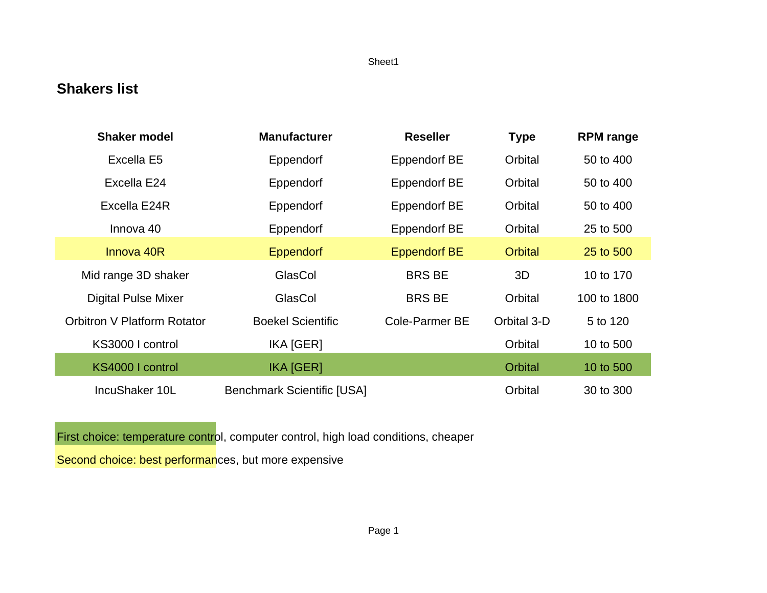## **Shakers list**

| <b>Shaker model</b>                | <b>Manufacturer</b>               | <b>Reseller</b>       | <b>Type</b>    | <b>RPM</b> range |
|------------------------------------|-----------------------------------|-----------------------|----------------|------------------|
| Excella E5                         | Eppendorf                         | <b>Eppendorf BE</b>   | Orbital        | 50 to 400        |
| Excella E24                        | Eppendorf                         | <b>Eppendorf BE</b>   | Orbital        | 50 to 400        |
| Excella E24R                       | Eppendorf                         | <b>Eppendorf BE</b>   | Orbital        | 50 to 400        |
| Innova 40                          | Eppendorf                         | <b>Eppendorf BE</b>   | Orbital        | 25 to 500        |
| Innova 40R                         | <b>Eppendorf</b>                  | <b>Eppendorf BE</b>   | <b>Orbital</b> | 25 to 500        |
| Mid range 3D shaker                | GlasCol                           | <b>BRS BE</b>         | 3D             | 10 to 170        |
| <b>Digital Pulse Mixer</b>         | GlasCol                           | <b>BRS BE</b>         | Orbital        | 100 to 1800      |
| <b>Orbitron V Platform Rotator</b> | <b>Boekel Scientific</b>          | <b>Cole-Parmer BE</b> | Orbital 3-D    | 5 to 120         |
| KS3000 I control                   | IKA [GER]                         |                       | Orbital        | 10 to 500        |
| KS4000 I control                   | <b>IKA [GER]</b>                  |                       | <b>Orbital</b> | 10 to 500        |
| IncuShaker 10L                     | <b>Benchmark Scientific [USA]</b> |                       | Orbital        | 30 to 300        |

First choice: temperature control, computer control, high load conditions, cheaper

Second choice: best performances, but more expensive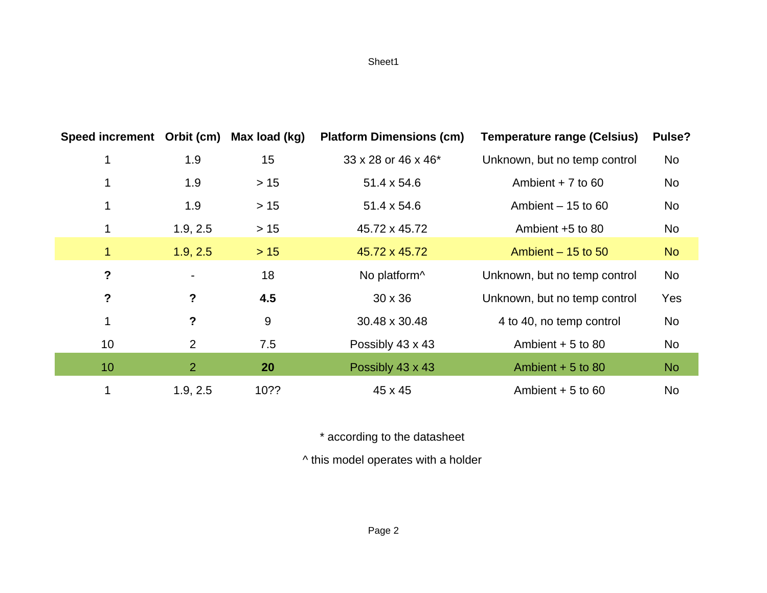| Speed increment Orbit (cm) |                | Max load (kg) | <b>Platform Dimensions (cm)</b> | <b>Temperature range (Celsius)</b> | Pulse?    |
|----------------------------|----------------|---------------|---------------------------------|------------------------------------|-----------|
| 1                          | 1.9            | 15            | 33 x 28 or 46 x 46*             | Unknown, but no temp control       | No        |
| 1                          | 1.9            | $>15$         | 51.4 x 54.6                     | Ambient $+7$ to 60                 | No        |
| 1                          | 1.9            | $>15$         | 51.4 x 54.6                     | Ambient $-15$ to 60                | No        |
| 1                          | 1.9, 2.5       | $>15$         | 45.72 x 45.72                   | Ambient +5 to 80                   | No        |
| $\mathbf{1}$               | 1.9, 2.5       | $>15$         | 45.72 x 45.72                   | Ambient $-15$ to 50                | <b>No</b> |
| ?                          |                | 18            | No platform <sup>^</sup>        | Unknown, but no temp control       | No        |
| $\boldsymbol{\mathsf{P}}$  | ?              | 4.5           | $30 \times 36$                  | Unknown, but no temp control       | Yes       |
| 1                          | ?              | 9             | 30.48 x 30.48                   | 4 to 40, no temp control           | No        |
| 10                         | 2              | 7.5           | Possibly 43 x 43                | Ambient $+5$ to 80                 | No        |
| 10                         | $\overline{2}$ | 20            | Possibly 43 x 43                | Ambient $+5$ to 80                 | <b>No</b> |
| 1                          | 1.9, 2.5       | 10??          | 45 x 45                         | Ambient $+5$ to 60                 | <b>No</b> |

\* according to the datasheet

^ this model operates with a holder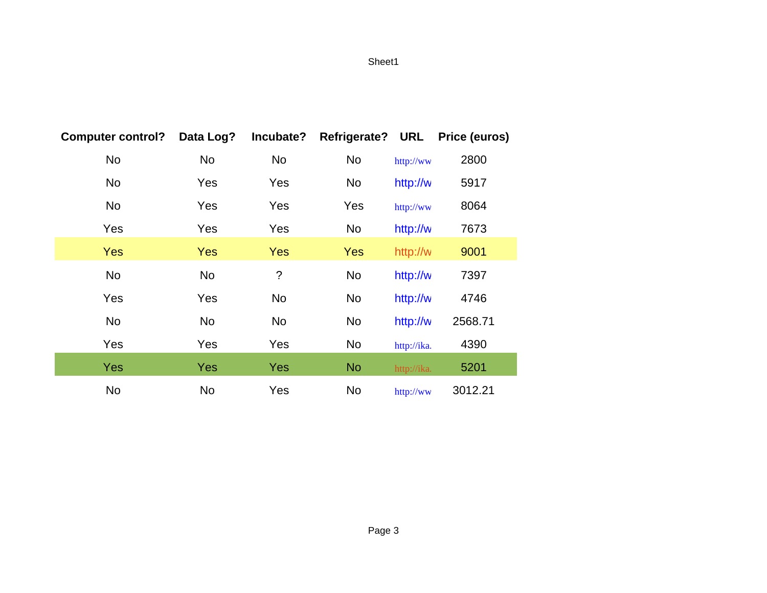| <b>Computer control?</b> | Data Log?  | Incubate?  | <b>Refrigerate?</b> | <b>URL</b>  | <b>Price (euros)</b> |
|--------------------------|------------|------------|---------------------|-------------|----------------------|
| No                       | No         | No         | No                  | http://ww   | 2800                 |
| No                       | Yes        | Yes        | No                  | http://w    | 5917                 |
| No                       | Yes        | Yes        | Yes                 | http://ww   | 8064                 |
| Yes                      | Yes        | Yes        | No                  | http://w    | 7673                 |
| Yes                      | <b>Yes</b> | <b>Yes</b> | Yes                 | http://w    | 9001                 |
| No                       | No         | $\ddot{?}$ | No                  | http://w    | 7397                 |
| Yes                      | Yes        | No         | No                  | http://w    | 4746                 |
| No                       | $\rm No$   | No         | No                  | http://w    | 2568.71              |
| Yes                      | Yes        | Yes        | No                  | http://ika. | 4390                 |
| Yes                      | <b>Yes</b> | <b>Yes</b> | <b>No</b>           | http://ika. | 5201                 |
| No                       | No         | Yes        | No                  | http://ww   | 3012.21              |